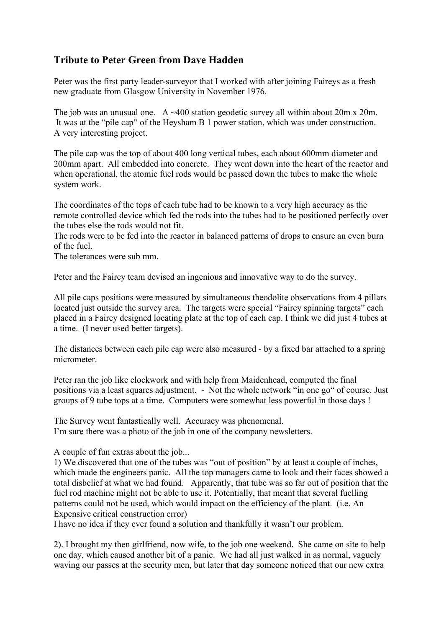## Tribute to Peter Green from Dave Hadden

Peter was the first party leader-surveyor that I worked with after joining Faireys as a fresh new graduate from Glasgow University in November 1976.

The job was an unusual one. A  $\sim$ 400 station geodetic survey all within about 20m x 20m. It was at the "pile cap" of the Heysham B 1 power station, which was under construction. A very interesting project.

The pile cap was the top of about 400 long vertical tubes, each about 600mm diameter and 200mm apart. All embedded into concrete. They went down into the heart of the reactor and when operational, the atomic fuel rods would be passed down the tubes to make the whole system work.

The coordinates of the tops of each tube had to be known to a very high accuracy as the remote controlled device which fed the rods into the tubes had to be positioned perfectly over the tubes else the rods would not fit.

The rods were to be fed into the reactor in balanced patterns of drops to ensure an even burn of the fuel.

The tolerances were sub mm.

Peter and the Fairey team devised an ingenious and innovative way to do the survey.

All pile caps positions were measured by simultaneous theodolite observations from 4 pillars located just outside the survey area. The targets were special "Fairey spinning targets" each placed in a Fairey designed locating plate at the top of each cap. I think we did just 4 tubes at a time. (I never used better targets).

The distances between each pile cap were also measured - by a fixed bar attached to a spring micrometer.

Peter ran the job like clockwork and with help from Maidenhead, computed the final positions via a least squares adjustment. - Not the whole network "in one go" of course. Just groups of 9 tube tops at a time. Computers were somewhat less powerful in those days !

The Survey went fantastically well. Accuracy was phenomenal. I'm sure there was a photo of the job in one of the company newsletters.

A couple of fun extras about the job...

1) We discovered that one of the tubes was "out of position" by at least a couple of inches, which made the engineers panic. All the top managers came to look and their faces showed a total disbelief at what we had found. Apparently, that tube was so far out of position that the fuel rod machine might not be able to use it. Potentially, that meant that several fuelling patterns could not be used, which would impact on the efficiency of the plant. (i.e. An Expensive critical construction error)

I have no idea if they ever found a solution and thankfully it wasn't our problem.

2). I brought my then girlfriend, now wife, to the job one weekend. She came on site to help one day, which caused another bit of a panic. We had all just walked in as normal, vaguely waving our passes at the security men, but later that day someone noticed that our new extra